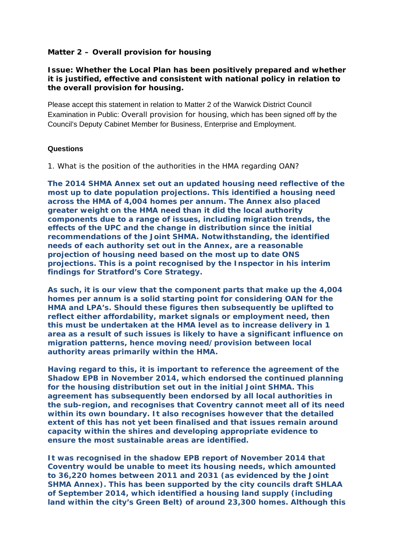## **Matter 2 – Overall provision for housing**

**Issue: Whether the Local Plan has been positively prepared and whether it is justified, effective and consistent with national policy in relation to the overall provision for housing.** 

Please accept this statement in relation to Matter 2 of the Warwick District Council Examination in Public: Overall provision for housing, which has been signed off by the Council's Deputy Cabinet Member for Business, Enterprise and Employment.

## **Questions**

*1. What is the position of the authorities in the HMA regarding OAN?* 

**The 2014 SHMA Annex set out an updated housing need reflective of the most up to date population projections. This identified a housing need across the HMA of 4,004 homes per annum. The Annex also placed greater weight on the HMA need than it did the local authority components due to a range of issues, including migration trends, the effects of the UPC and the change in distribution since the initial recommendations of the Joint SHMA. Notwithstanding, the identified needs of each authority set out in the Annex, are a reasonable projection of housing need based on the most up to date ONS projections. This is a point recognised by the Inspector in his interim findings for Stratford's Core Strategy.** 

**As such, it is our view that the component parts that make up the 4,004 homes per annum is a solid starting point for considering OAN for the HMA and LPA's. Should these figures then subsequently be uplifted to reflect either affordability, market signals or employment need, then this must be undertaken at the HMA level as to increase delivery in 1 area as a result of such issues is likely to have a significant influence on migration patterns, hence moving need/provision between local authority areas primarily within the HMA.** 

**Having regard to this, it is important to reference the agreement of the Shadow EPB in November 2014, which endorsed the continued planning for the housing distribution set out in the initial Joint SHMA. This agreement has subsequently been endorsed by all local authorities in the sub-region, and recognises that Coventry cannot meet all of its need within its own boundary. It also recognises however that the detailed extent of this has not yet been finalised and that issues remain around capacity within the shires and developing appropriate evidence to ensure the most sustainable areas are identified.** 

**It was recognised in the shadow EPB report of November 2014 that Coventry would be unable to meet its housing needs, which amounted to 36,220 homes between 2011 and 2031 (as evidenced by the Joint SHMA Annex). This has been supported by the city councils draft SHLAA of September 2014, which identified a housing land supply (including land within the city's Green Belt) of around 23,300 homes. Although this**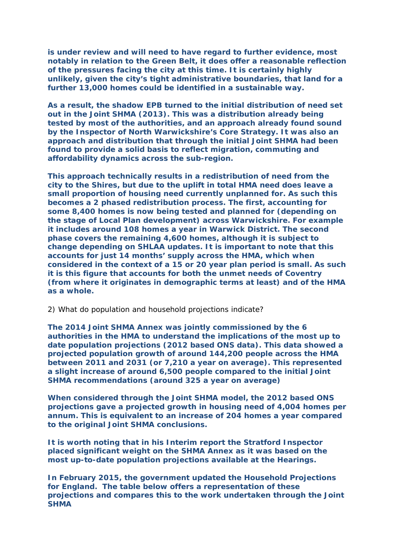**is under review and will need to have regard to further evidence, most notably in relation to the Green Belt, it does offer a reasonable reflection of the pressures facing the city at this time. It is certainly highly unlikely, given the city's tight administrative boundaries, that land for a further 13,000 homes could be identified in a sustainable way.** 

**As a result, the shadow EPB turned to the initial distribution of need set out in the Joint SHMA (2013). This was a distribution already being tested by most of the authorities, and an approach already found sound by the Inspector of North Warwickshire's Core Strategy. It was also an approach and distribution that through the initial Joint SHMA had been found to provide a solid basis to reflect migration, commuting and affordability dynamics across the sub-region.** 

**This approach technically results in a redistribution of need from the city to the Shires, but due to the uplift in total HMA need does leave a small proportion of housing need currently unplanned for. As such this becomes a 2 phased redistribution process. The first, accounting for some 8,400 homes is now being tested and planned for (depending on the stage of Local Plan development) across Warwickshire. For example it includes around 108 homes a year in Warwick District. The second phase covers the remaining 4,600 homes, although it is subject to change depending on SHLAA updates. It is important to note that this accounts for just 14 months' supply across the HMA, which when considered in the context of a 15 or 20 year plan period is small. As such it is this figure that accounts for both the unmet needs of Coventry (from where it originates in demographic terms at least) and of the HMA as a whole.** 

## *2) What do population and household projections indicate?*

**The 2014 Joint SHMA Annex was jointly commissioned by the 6 authorities in the HMA to understand the implications of the most up to date population projections (2012 based ONS data). This data showed a projected population growth of around 144,200 people across the HMA between 2011 and 2031 (or 7,210 a year on average). This represented a slight increase of around 6,500 people compared to the initial Joint SHMA recommendations (around 325 a year on average)** 

**When considered through the Joint SHMA model, the 2012 based ONS projections gave a projected growth in housing need of 4,004 homes per annum. This is equivalent to an increase of 204 homes a year compared to the original Joint SHMA conclusions.** 

**It is worth noting that in his Interim report the Stratford Inspector placed significant weight on the SHMA Annex as it was based on the most up-to-date population projections available at the Hearings.** 

**In February 2015, the government updated the Household Projections for England. The table below offers a representation of these projections and compares this to the work undertaken through the Joint SHMA**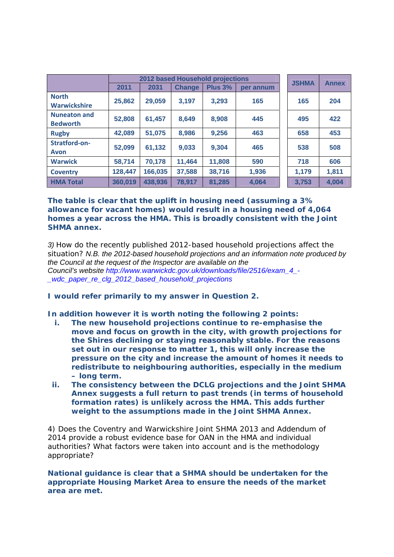|                                        | 2012 based Household projections |         |               |                |           | <b>JSHMA</b> | <b>Annex</b> |
|----------------------------------------|----------------------------------|---------|---------------|----------------|-----------|--------------|--------------|
|                                        | 2011                             | 2031    | <b>Change</b> | <b>Plus 3%</b> | per annum |              |              |
| <b>North</b><br><b>Warwickshire</b>    | 25,862                           | 29,059  | 3,197         | 3,293          | 165       | 165          | 204          |
| <b>Nuneaton and</b><br><b>Bedworth</b> | 52,808                           | 61,457  | 8,649         | 8,908          | 445       | 495          | 422          |
| <b>Rugby</b>                           | 42,089                           | 51,075  | 8,986         | 9,256          | 463       | 658          | 453          |
| Stratford-on-<br>Avon                  | 52,099                           | 61,132  | 9,033         | 9,304          | 465       | 538          | 508          |
| <b>Warwick</b>                         | 58,714                           | 70,178  | 11,464        | 11,808         | 590       | 718          | 606          |
| <b>Coventry</b>                        | 128,447                          | 166,035 | 37,588        | 38,716         | 1,936     | 1,179        | 1,811        |
| <b>HMA Total</b>                       | 360,019                          | 438,936 | 78,917        | 81,285         | 4,064     | 3,753        | 4,004        |

**The table is clear that the uplift in housing need (assuming a 3% allowance for vacant homes) would result in a housing need of 4,064 homes a year across the HMA. This is broadly consistent with the Joint SHMA annex.** 

*3) How do the recently published 2012-based household projections affect the situation? N.B. the 2012-based household projections and an information note produced by the Council at the request of the Inspector are available on the Council's website http://www.warwickdc.gov.uk/downloads/file/2516/exam\_4\_- \_wdc\_paper\_re\_clg\_2012\_based\_household\_projections* 

**I would refer primarily to my answer in Question 2.** 

**In addition however it is worth noting the following 2 points:** 

- **i. The new household projections continue to re-emphasise the move and focus on growth in the city, with growth projections for the Shires declining or staying reasonably stable. For the reasons set out in our response to matter 1, this will only increase the pressure on the city and increase the amount of homes it needs to redistribute to neighbouring authorities, especially in the medium – long term.**
- **ii. The consistency between the DCLG projections and the Joint SHMA Annex suggests a full return to past trends (in terms of household formation rates) is unlikely across the HMA. This adds further weight to the assumptions made in the Joint SHMA Annex.**

*4) Does the Coventry and Warwickshire Joint SHMA 2013 and Addendum of 2014 provide a robust evidence base for OAN in the HMA and individual authorities? What factors were taken into account and is the methodology appropriate?* 

**National guidance is clear that a SHMA should be undertaken for the appropriate Housing Market Area to ensure the needs of the market area are met.**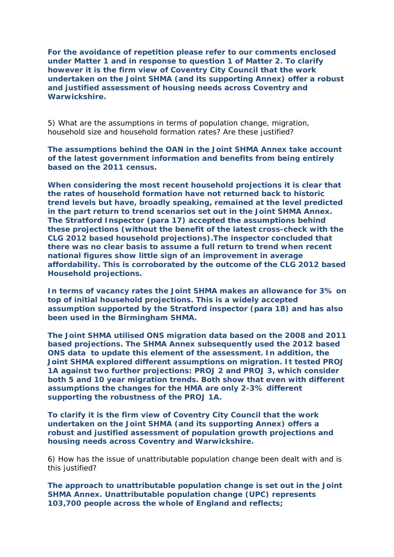**For the avoidance of repetition please refer to our comments enclosed under Matter 1 and in response to question 1 of Matter 2. To clarify however it is the firm view of Coventry City Council that the work undertaken on the Joint SHMA (and its supporting Annex) offer a robust and justified assessment of housing needs across Coventry and Warwickshire.** 

*5) What are the assumptions in terms of population change, migration, household size and household formation rates? Are these justified?* 

**The assumptions behind the OAN in the Joint SHMA Annex take account of the latest government information and benefits from being entirely based on the 2011 census.** 

**When considering the most recent household projections it is clear that the rates of household formation have not returned back to historic trend levels but have, broadly speaking, remained at the level predicted in the part return to trend scenarios set out in the Joint SHMA Annex. The Stratford Inspector (para 17) accepted the assumptions behind these projections (without the benefit of the latest cross-check with the CLG 2012 based household projections).The inspector concluded that there was no clear basis to assume a full return to trend when recent national figures show little sign of an improvement in average affordability. This is corroborated by the outcome of the CLG 2012 based Household projections.** 

**In terms of vacancy rates the Joint SHMA makes an allowance for 3% on top of initial household projections. This is a widely accepted assumption supported by the Stratford inspector (para 18) and has also been used in the Birmingham SHMA.** 

**The Joint SHMA utilised ONS migration data based on the 2008 and 2011 based projections. The SHMA Annex subsequently used the 2012 based ONS data to update this element of the assessment. In addition, the Joint SHMA explored different assumptions on migration. It tested PROJ 1A against two further projections: PROJ 2 and PROJ 3, which consider both 5 and 10 year migration trends. Both show that even with different assumptions the changes for the HMA are only 2-3% different supporting the robustness of the PROJ 1A.** 

**To clarify it is the firm view of Coventry City Council that the work undertaken on the Joint SHMA (and its supporting Annex) offers a robust and justified assessment of population growth projections and housing needs across Coventry and Warwickshire.** 

*6) How has the issue of unattributable population change been dealt with and is this justified?* 

**The approach to unattributable population change is set out in the Joint SHMA Annex. Unattributable population change (UPC) represents 103,700 people across the whole of England and reflects;**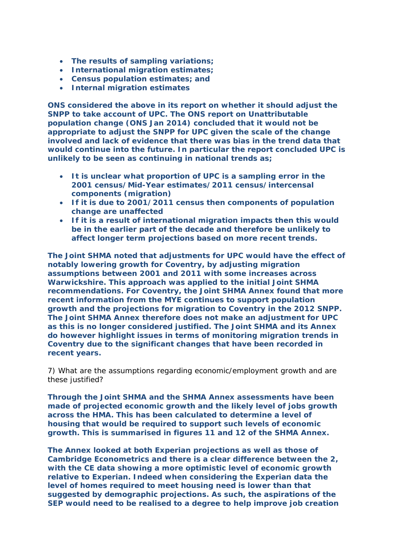- **The results of sampling variations;**
- **International migration estimates;**
- **Census population estimates; and**
- **Internal migration estimates**

**ONS considered the above in its report on whether it should adjust the SNPP to take account of UPC. The ONS report on Unattributable population change (ONS Jan 2014) concluded that it would not be appropriate to adjust the SNPP for UPC given the scale of the change involved and lack of evidence that there was bias in the trend data that would continue into the future. In particular the report concluded UPC is unlikely to be seen as continuing in national trends as;** 

- **It is unclear what proportion of UPC is a sampling error in the 2001 census/Mid-Year estimates/2011 census/intercensal components (migration)**
- **If it is due to 2001/2011 census then components of population change are unaffected**
- **If it is a result of international migration impacts then this would be in the earlier part of the decade and therefore be unlikely to affect longer term projections based on more recent trends.**

**The Joint SHMA noted that adjustments for UPC would have the effect of notably lowering growth for Coventry, by adjusting migration assumptions between 2001 and 2011 with some increases across Warwickshire. This approach was applied to the initial Joint SHMA recommendations. For Coventry, the Joint SHMA Annex found that more recent information from the MYE continues to support population growth and the projections for migration to Coventry in the 2012 SNPP. The Joint SHMA Annex therefore does not make an adjustment for UPC as this is no longer considered justified. The Joint SHMA and its Annex do however highlight issues in terms of monitoring migration trends in Coventry due to the significant changes that have been recorded in recent years.** 

*7) What are the assumptions regarding economic/employment growth and are these justified?* 

**Through the Joint SHMA and the SHMA Annex assessments have been made of projected economic growth and the likely level of jobs growth across the HMA. This has been calculated to determine a level of housing that would be required to support such levels of economic growth. This is summarised in figures 11 and 12 of the SHMA Annex.** 

**The Annex looked at both Experian projections as well as those of Cambridge Econometrics and there is a clear difference between the 2, with the CE data showing a more optimistic level of economic growth relative to Experian. Indeed when considering the Experian data the level of homes required to meet housing need is lower than that suggested by demographic projections. As such, the aspirations of the SEP would need to be realised to a degree to help improve job creation**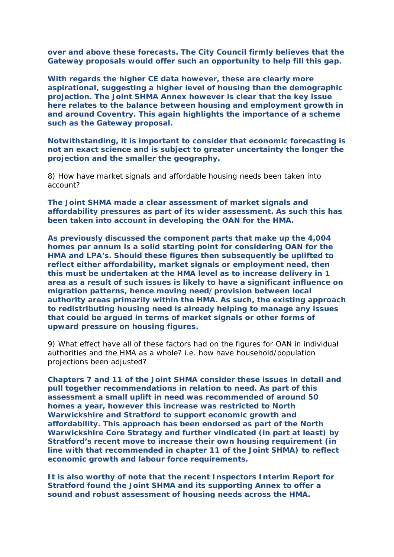**over and above these forecasts. The City Council firmly believes that the Gateway proposals would offer such an opportunity to help fill this gap.** 

**With regards the higher CE data however, these are clearly more aspirational, suggesting a higher level of housing than the demographic projection. The Joint SHMA Annex however is clear that the key issue here relates to the balance between housing and employment growth in and around Coventry. This again highlights the importance of a scheme such as the Gateway proposal.** 

**Notwithstanding, it is important to consider that economic forecasting is not an exact science and is subject to greater uncertainty the longer the projection and the smaller the geography.** 

*8) How have market signals and affordable housing needs been taken into account?* 

**The Joint SHMA made a clear assessment of market signals and affordability pressures as part of its wider assessment. As such this has been taken into account in developing the OAN for the HMA.** 

**As previously discussed the component parts that make up the 4,004 homes per annum is a solid starting point for considering OAN for the HMA and LPA's. Should these figures then subsequently be uplifted to reflect either affordability, market signals or employment need, then this must be undertaken at the HMA level as to increase delivery in 1 area as a result of such issues is likely to have a significant influence on migration patterns, hence moving need/provision between local authority areas primarily within the HMA. As such, the existing approach to redistributing housing need is already helping to manage any issues that could be argued in terms of market signals or other forms of upward pressure on housing figures.** 

*9) What effect have all of these factors had on the figures for OAN in individual authorities and the HMA as a whole? i.e. how have household/population projections been adjusted?* 

**Chapters 7 and 11 of the Joint SHMA consider these issues in detail and pull together recommendations in relation to need. As part of this assessment a small uplift in need was recommended of around 50 homes a year, however this increase was restricted to North Warwickshire and Stratford to support economic growth and affordability. This approach has been endorsed as part of the North Warwickshire Core Strategy and further vindicated (in part at least) by Stratford's recent move to increase their own housing requirement (in line with that recommended in chapter 11 of the Joint SHMA) to reflect economic growth and labour force requirements.** 

**It is also worthy of note that the recent Inspectors Interim Report for Stratford found the Joint SHMA and its supporting Annex to offer a sound and robust assessment of housing needs across the HMA.**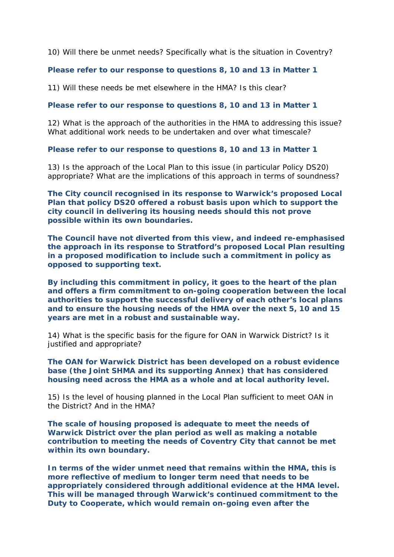*10) Will there be unmet needs? Specifically what is the situation in Coventry?* 

## **Please refer to our response to questions 8, 10 and 13 in Matter 1**

*11) Will these needs be met elsewhere in the HMA? Is this clear?* 

**Please refer to our response to questions 8, 10 and 13 in Matter 1** 

*12) What is the approach of the authorities in the HMA to addressing this issue? What additional work needs to be undertaken and over what timescale?* 

**Please refer to our response to questions 8, 10 and 13 in Matter 1** 

*13) Is the approach of the Local Plan to this issue (in particular Policy DS20) appropriate? What are the implications of this approach in terms of soundness?* 

**The City council recognised in its response to Warwick's proposed Local Plan that policy DS20 offered a robust basis upon which to support the city council in delivering its housing needs should this not prove possible within its own boundaries.** 

**The Council have not diverted from this view, and indeed re-emphasised the approach in its response to Stratford's proposed Local Plan resulting in a proposed modification to include such a commitment in policy as opposed to supporting text.** 

**By including this commitment in policy, it goes to the heart of the plan and offers a firm commitment to on-going cooperation between the local authorities to support the successful delivery of each other's local plans and to ensure the housing needs of the HMA over the next 5, 10 and 15 years are met in a robust and sustainable way.** 

*14) What is the specific basis for the figure for OAN in Warwick District? Is it justified and appropriate?* 

**The OAN for Warwick District has been developed on a robust evidence base (the Joint SHMA and its supporting Annex) that has considered housing need across the HMA as a whole and at local authority level.** 

*15) Is the level of housing planned in the Local Plan sufficient to meet OAN in the District? And in the HMA?* 

**The scale of housing proposed is adequate to meet the needs of Warwick District over the plan period as well as making a notable contribution to meeting the needs of Coventry City that cannot be met within its own boundary.** 

**In terms of the wider unmet need that remains within the HMA, this is more reflective of medium to longer term need that needs to be appropriately considered through additional evidence at the HMA level. This will be managed through Warwick's continued commitment to the Duty to Cooperate, which would remain on-going even after the**